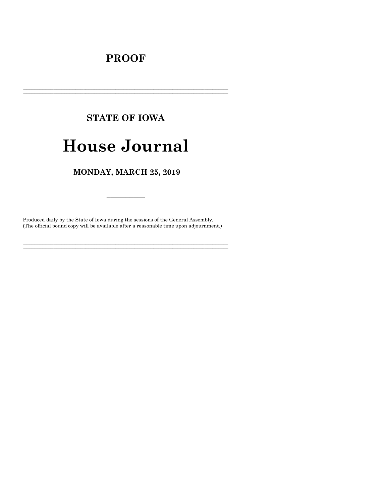## **PROOF**

# **STATE OF IOWA**

## **House Journal**

### MONDAY, MARCH 25, 2019

Produced daily by the State of Iowa during the sessions of the General Assembly. (The official bound copy will be available after a reasonable time upon adjournment.)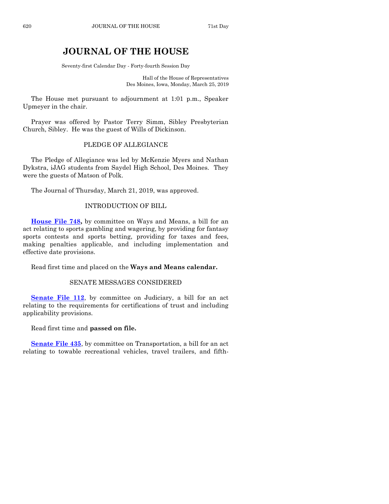### **JOURNAL OF THE HOUSE**

Seventy-first Calendar Day - Forty-fourth Session Day

Hall of the House of Representatives Des Moines, Iowa, Monday, March 25, 2019

The House met pursuant to adjournment at 1:01 p.m., Speaker Upmeyer in the chair.

Prayer was offered by Pastor Terry Simm, Sibley Presbyterian Church, Sibley. He was the guest of Wills of Dickinson.

#### PLEDGE OF ALLEGIANCE

The Pledge of Allegiance was led by McKenzie Myers and Nathan Dykstra, iJAG students from Saydel High School, Des Moines. They were the guests of Matson of Polk.

The Journal of Thursday, March 21, 2019, was approved.

#### INTRODUCTION OF BILL

**[House File 748,](https://www.legis.iowa.gov/legislation/BillBook?ga=88&ba=HF748)** by committee on Ways and Means, a bill for an act relating to sports gambling and wagering, by providing for fantasy sports contests and sports betting, providing for taxes and fees, making penalties applicable, and including implementation and effective date provisions.

Read first time and placed on the **Ways and Means calendar.**

#### SENATE MESSAGES CONSIDERED

**[Senate File 112](https://www.legis.iowa.gov/legislation/BillBook?ga=88&ba=SF112)**, by committee on Judiciary, a bill for an act relating to the requirements for certifications of trust and including applicability provisions.

Read first time and **passed on file.**

**[Senate File 435](https://www.legis.iowa.gov/legislation/BillBook?ga=88&ba=SF435)**, by committee on Transportation, a bill for an act relating to towable recreational vehicles, travel trailers, and fifth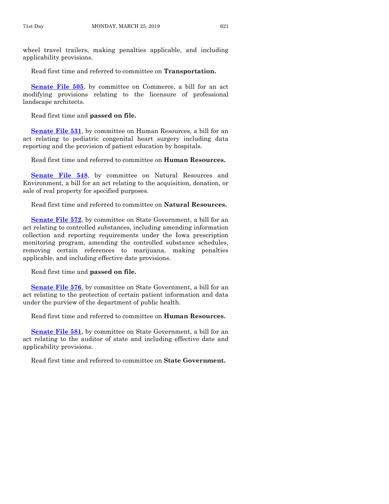wheel travel trailers, making penalties applicable, and including applicability provisions.

Read first time and referred to committee on **Transportation.**

**[Senate File 505](https://www.legis.iowa.gov/legislation/BillBook?ga=88&ba=SF505)**, by committee on Commerce, a bill for an act modifying provisions relating to the licensure of professional landscape architects.

Read first time and **passed on file.**

**[Senate File 531](https://www.legis.iowa.gov/legislation/BillBook?ga=88&ba=SF531)**, by committee on Human Resources, a bill for an act relating to pediatric congenital heart surgery including data reporting and the provision of patient education by hospitals.

Read first time and referred to committee on **Human Resources.**

**[Senate File 548](https://www.legis.iowa.gov/legislation/BillBook?ga=88&ba=SF548)**, by committee on Natural Resources and Environment, a bill for an act relating to the acquisition, donation, or sale of real property for specified purposes.

Read first time and referred to committee on **Natural Resources.**

**[Senate File 572](https://www.legis.iowa.gov/legislation/BillBook?ga=88&ba=SF572)**, by committee on State Government, a bill for an act relating to controlled substances, including amending information collection and reporting requirements under the Iowa prescription monitoring program, amending the controlled substance schedules, removing certain references to marijuana, making penalties applicable, and including effective date provisions.

Read first time and **passed on file.**

**[Senate File 576](https://www.legis.iowa.gov/legislation/BillBook?ga=88&ba=SF576)**, by committee on State Government, a bill for an act relating to the protection of certain patient information and data under the purview of the department of public health.

Read first time and referred to committee on **Human Resources.**

**[Senate File 581](https://www.legis.iowa.gov/legislation/BillBook?ga=88&ba=SF581)**, by committee on State Government, a bill for an act relating to the auditor of state and including effective date and applicability provisions.

Read first time and referred to committee on **State Government.**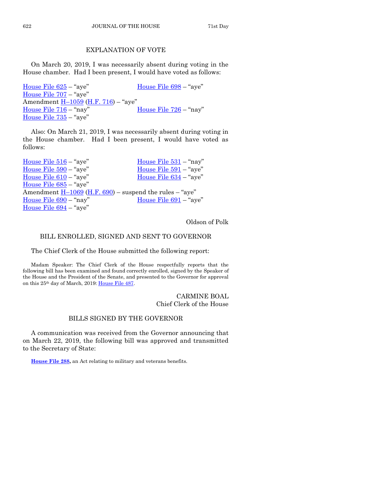#### EXPLANATION OF VOTE

On March 20, 2019, I was necessarily absent during voting in the House chamber. Had I been present, I would have voted as follows:

[House File 625](https://www.legis.iowa.gov/legislation/BillBook?ga=88&ba=HF625) – "aye" [House File 698](https://www.legis.iowa.gov/legislation/BillBook?ga=88&ba=HF698) – "aye" [House File 707](https://www.legis.iowa.gov/legislation/BillBook?ga=88&ba=HF707) – "aye" Amendment **H**-[1059](https://www.legis.iowa.gov/legislation/BillBook?ga=88&ba=H1059) [\(H.F. 716\)](https://www.legis.iowa.gov/legislation/BillBook?ga=88&ba=HF716) - "aye" [House File 716](https://www.legis.iowa.gov/legislation/BillBook?ga=88&ba=HF716) – "nay" [House File 726](https://www.legis.iowa.gov/legislation/BillBook?ga=88&ba=HF726) – "nay" [House File 735](https://www.legis.iowa.gov/legislation/BillBook?ga=88&ba=HF735) – "aye"

Also: On March 21, 2019, I was necessarily absent during voting in the House chamber. Had I been present, I would have voted as follows:

House File  $516 -$ "aye" House File  $531 -$ "nay" [House File](https://www.legis.iowa.gov/legislation/BillBook?ga=88&ba=HF590) 590 – "aye" [House File 591](https://www.legis.iowa.gov/legislation/BillBook?ga=88&ba=HF591) – "aye" [House File 610](https://www.legis.iowa.gov/legislation/BillBook?ga=88&ba=HF610) – "aye" [House File 634](https://www.legis.iowa.gov/legislation/BillBook?ga=88&ba=HF634) – "aye" [House File 685](https://www.legis.iowa.gov/legislation/BillBook?ga=88&ba=HF685) – "aye" Amendment  $H-1069$  $H-1069$  [\(H.F. 690\)](https://www.legis.iowa.gov/legislation/BillBook?ga=88&ba=HF690) – suspend the rules – "aye" [House File 690](https://www.legis.iowa.gov/legislation/BillBook?ga=88&ba=HF690) – "nay" [House File 691](https://www.legis.iowa.gov/legislation/BillBook?ga=88&ba=HF691) – "aye" [House File 694](https://www.legis.iowa.gov/legislation/BillBook?ga=88&ba=HF694) – "aye"

Oldson of Polk

#### BILL ENROLLED, SIGNED AND SENT TO GOVERNOR

The Chief Clerk of the House submitted the following report:

Madam Speaker: The Chief Clerk of the House respectfully reports that the following bill has been examined and found correctly enrolled, signed by the Speaker of the House and the President of the Senate, and presented to the Governor for approval on this 25th day of March, 2019: [House File 487.](https://www.legis.iowa.gov/legislation/BillBook?ga=88&ba=HF487)

> CARMINE BOAL Chief Clerk of the House

#### BILLS SIGNED BY THE GOVERNOR

A communication was received from the Governor announcing that on March 22, 2019, the following bill was approved and transmitted to the Secretary of State:

**[House File 288,](https://www.legis.iowa.gov/legislation/BillBook?ga=88&ba=HF288)** an Act relating to military and veterans benefits.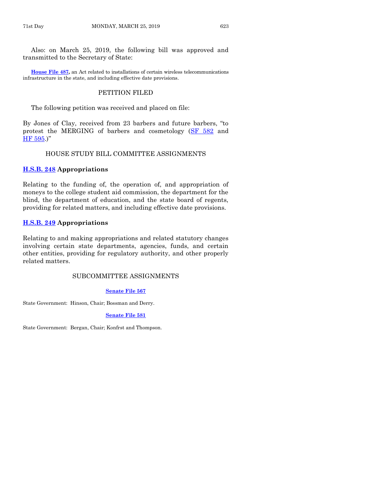Also: on March 25, 2019, the following bill was approved and transmitted to the Secretary of State:

**[House File 487,](https://www.legis.iowa.gov/legislation/BillBook?ga=88&ba=HF487)** an Act related to installations of certain wireless telecommunications infrastructure in the state, and including effective date provisions.

#### PETITION FILED

The following petition was received and placed on file:

By Jones of Clay, received from 23 barbers and future barbers, "to protest the MERGING of barbers and cosmetology [\(SF 582](https://www.legis.iowa.gov/legislation/BillBook?ga=88&ba=SF582) and [HF 595](https://www.legis.iowa.gov/legislation/BillBook?ga=88&ba=HF595).)"

#### HOUSE STUDY BILL COMMITTEE ASSIGNMENTS

#### **[H.S.B. 248](https://www.legis.iowa.gov/legislation/BillBook?ga=88&ba=HSB248) Appropriations**

Relating to the funding of, the operation of, and appropriation of moneys to the college student aid commission, the department for the blind, the department of education, and the state board of regents, providing for related matters, and including effective date provisions.

#### **[H.S.B. 249](https://www.legis.iowa.gov/legislation/BillBook?ga=88&ba=HSB249) Appropriations**

Relating to and making appropriations and related statutory changes involving certain state departments, agencies, funds, and certain other entities, providing for regulatory authority, and other properly related matters.

#### SUBCOMMITTEE ASSIGNMENTS

#### **[Senate File 567](https://www.legis.iowa.gov/legislation/BillBook?ga=88&ba=SF567)**

State Government: Hinson, Chair; Bossman and Derry.

**[Senate File 581](https://www.legis.iowa.gov/legislation/BillBook?ga=88&ba=SF581)**

State Government: Bergan, Chair; Konfrst and Thompson.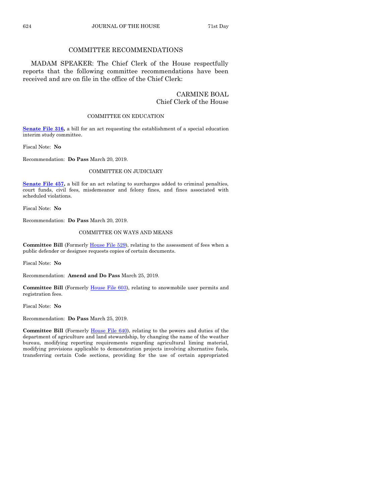#### COMMITTEE RECOMMENDATIONS

MADAM SPEAKER: The Chief Clerk of the House respectfully reports that the following committee recommendations have been received and are on file in the office of the Chief Clerk:

#### CARMINE BOAL Chief Clerk of the House

#### COMMITTEE ON EDUCATION

**[Senate File 316,](https://www.legis.iowa.gov/legislation/BillBook?ga=88&ba=SF316)** a bill for an act requesting the establishment of a special education interim study committee.

Fiscal Note: **No**

Recommendation: **Do Pass** March 20, 2019.

#### COMMITTEE ON JUDICIARY

**[Senate File 457,](https://www.legis.iowa.gov/legislation/BillBook?ga=88&ba=SF457)** a bill for an act relating to surcharges added to criminal penalties, court funds, civil fees, misdemeanor and felony fines, and fines associated with scheduled violations.

Fiscal Note: **No**

Recommendation: **Do Pass** March 20, 2019.

#### COMMITTEE ON WAYS AND MEANS

Committee Bill (Formerly [House File 529\)](https://www.legis.iowa.gov/legislation/BillBook?ga=88&ba=HF529), relating to the assessment of fees when a public defender or designee requests copies of certain documents.

Fiscal Note: **No**

Recommendation: **Amend and Do Pass** March 25, 2019.

**Committee Bill** (Formerly [House File 603\)](https://www.legis.iowa.gov/legislation/BillBook?ga=88&ba=HF603), relating to snowmobile user permits and registration fees.

Fiscal Note: **No**

Recommendation: **Do Pass** March 25, 2019.

**Committee Bill** (Formerly [House File 640\)](https://www.legis.iowa.gov/legislation/BillBook?ga=88&ba=HF640), relating to the powers and duties of the department of agriculture and land stewardship, by changing the name of the weather bureau, modifying reporting requirements regarding agricultural liming material, modifying provisions applicable to demonstration projects involving alternative fuels, transferring certain Code sections, providing for the use of certain appropriated